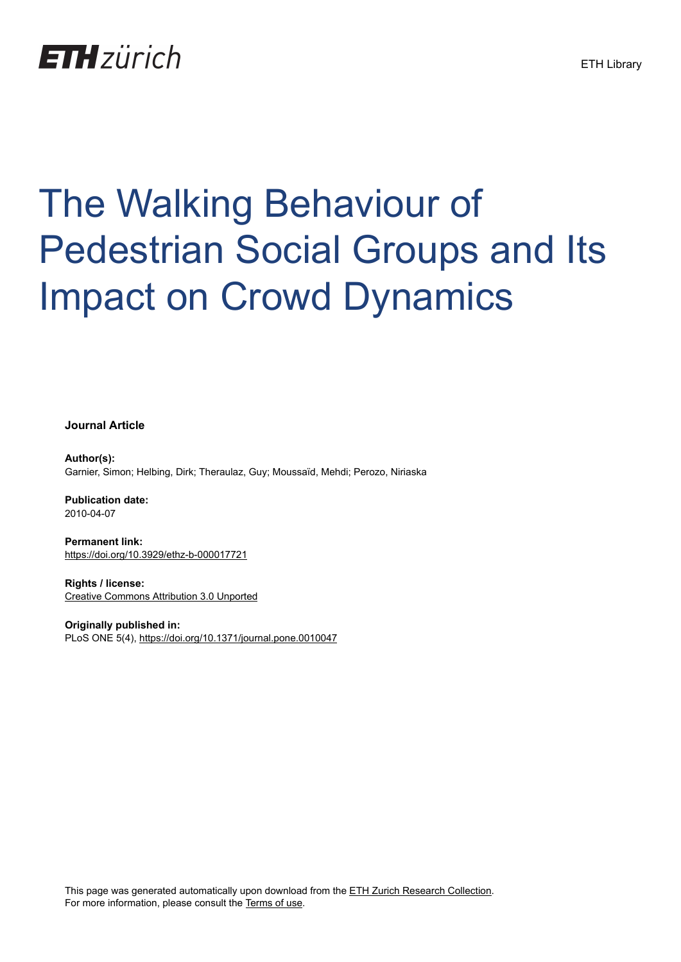## **ETH** zürich

# The Walking Behaviour of Pedestrian Social Groups and Its Impact on Crowd Dynamics

**Journal Article**

**Author(s):** Garnier, Simon; Helbing, Dirk; Theraulaz, Guy; Moussaïd, Mehdi; Perozo, Niriaska

**Publication date:** 2010-04-07

**Permanent link:** <https://doi.org/10.3929/ethz-b-000017721>

**Rights / license:** [Creative Commons Attribution 3.0 Unported](http://creativecommons.org/licenses/by/3.0/)

**Originally published in:** PLoS ONE 5(4), <https://doi.org/10.1371/journal.pone.0010047>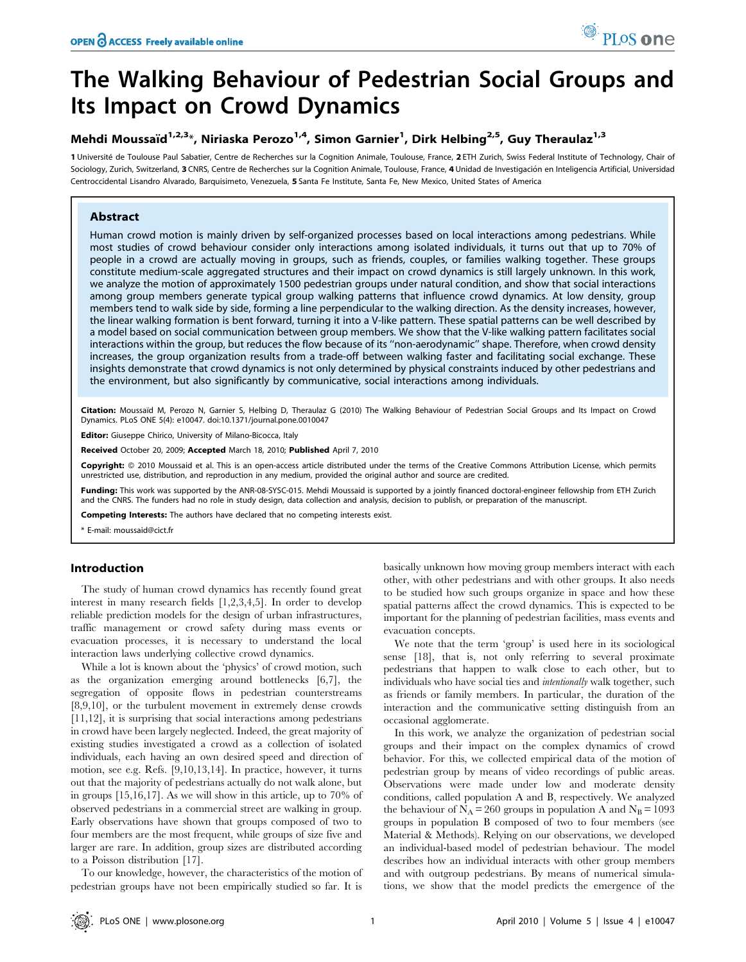### The Walking Behaviour of Pedestrian Social Groups and Its Impact on Crowd Dynamics

#### Mehdi Moussaïd $^{1,2,3}$ \*, Niriaska Perozo $^{1,4}$ , Simon Garnier $^1$ , Dirk Helbing $^{2,5}$ , Guy Theraulaz $^{1,3}$

1 Université de Toulouse Paul Sabatier, Centre de Recherches sur la Cognition Animale, Toulouse, France, 2 ETH Zurich, Swiss Federal Institute of Technology, Chair of Sociology, Zurich, Switzerland, 3 CNRS, Centre de Recherches sur la Cognition Animale, Toulouse, France, 4 Unidad de Investigación en Inteligencia Artificial, Universidad Centroccidental Lisandro Alvarado, Barquisimeto, Venezuela, 5 Santa Fe Institute, Santa Fe, New Mexico, United States of America

#### Abstract

Human crowd motion is mainly driven by self-organized processes based on local interactions among pedestrians. While most studies of crowd behaviour consider only interactions among isolated individuals, it turns out that up to 70% of people in a crowd are actually moving in groups, such as friends, couples, or families walking together. These groups constitute medium-scale aggregated structures and their impact on crowd dynamics is still largely unknown. In this work, we analyze the motion of approximately 1500 pedestrian groups under natural condition, and show that social interactions among group members generate typical group walking patterns that influence crowd dynamics. At low density, group members tend to walk side by side, forming a line perpendicular to the walking direction. As the density increases, however, the linear walking formation is bent forward, turning it into a V-like pattern. These spatial patterns can be well described by a model based on social communication between group members. We show that the V-like walking pattern facilitates social interactions within the group, but reduces the flow because of its ''non-aerodynamic'' shape. Therefore, when crowd density increases, the group organization results from a trade-off between walking faster and facilitating social exchange. These insights demonstrate that crowd dynamics is not only determined by physical constraints induced by other pedestrians and the environment, but also significantly by communicative, social interactions among individuals.

Citation: Moussaïd M, Perozo N, Garnier S, Helbing D, Theraulaz G (2010) The Walking Behaviour of Pedestrian Social Groups and Its Impact on Crowd Dynamics. PLoS ONE 5(4): e10047. doi:10.1371/journal.pone.0010047

Editor: Giuseppe Chirico, University of Milano-Bicocca, Italy

Received October 20, 2009; Accepted March 18, 2010; Published April 7, 2010

Copyright: © 2010 Moussaid et al. This is an open-access article distributed under the terms of the Creative Commons Attribution License, which permits unrestricted use, distribution, and reproduction in any medium, provided the original author and source are credited.

Funding: This work was supported by the ANR-08-SYSC-015. Mehdi Moussaid is supported by a jointly financed doctoral-engineer fellowship from ETH Zurich and the CNRS. The funders had no role in study design, data collection and analysis, decision to publish, or preparation of the manuscript.

Competing Interests: The authors have declared that no competing interests exist.

\* E-mail: moussaid@cict.fr

#### Introduction

The study of human crowd dynamics has recently found great interest in many research fields [1,2,3,4,5]. In order to develop reliable prediction models for the design of urban infrastructures, traffic management or crowd safety during mass events or evacuation processes, it is necessary to understand the local interaction laws underlying collective crowd dynamics.

While a lot is known about the 'physics' of crowd motion, such as the organization emerging around bottlenecks [6,7], the segregation of opposite flows in pedestrian counterstreams [8,9,10], or the turbulent movement in extremely dense crowds [11,12], it is surprising that social interactions among pedestrians in crowd have been largely neglected. Indeed, the great majority of existing studies investigated a crowd as a collection of isolated individuals, each having an own desired speed and direction of motion, see e.g. Refs. [9,10,13,14]. In practice, however, it turns out that the majority of pedestrians actually do not walk alone, but in groups [15,16,17]. As we will show in this article, up to 70% of observed pedestrians in a commercial street are walking in group. Early observations have shown that groups composed of two to four members are the most frequent, while groups of size five and larger are rare. In addition, group sizes are distributed according to a Poisson distribution [17].

To our knowledge, however, the characteristics of the motion of pedestrian groups have not been empirically studied so far. It is

basically unknown how moving group members interact with each other, with other pedestrians and with other groups. It also needs to be studied how such groups organize in space and how these spatial patterns affect the crowd dynamics. This is expected to be important for the planning of pedestrian facilities, mass events and evacuation concepts.

We note that the term 'group' is used here in its sociological sense [18], that is, not only referring to several proximate pedestrians that happen to walk close to each other, but to individuals who have social ties and intentionally walk together, such as friends or family members. In particular, the duration of the interaction and the communicative setting distinguish from an occasional agglomerate.

In this work, we analyze the organization of pedestrian social groups and their impact on the complex dynamics of crowd behavior. For this, we collected empirical data of the motion of pedestrian group by means of video recordings of public areas. Observations were made under low and moderate density conditions, called population A and B, respectively. We analyzed the behaviour of  $N_A = 260$  groups in population A and  $N_B = 1093$ groups in population B composed of two to four members (see Material & Methods). Relying on our observations, we developed an individual-based model of pedestrian behaviour. The model describes how an individual interacts with other group members and with outgroup pedestrians. By means of numerical simulations, we show that the model predicts the emergence of the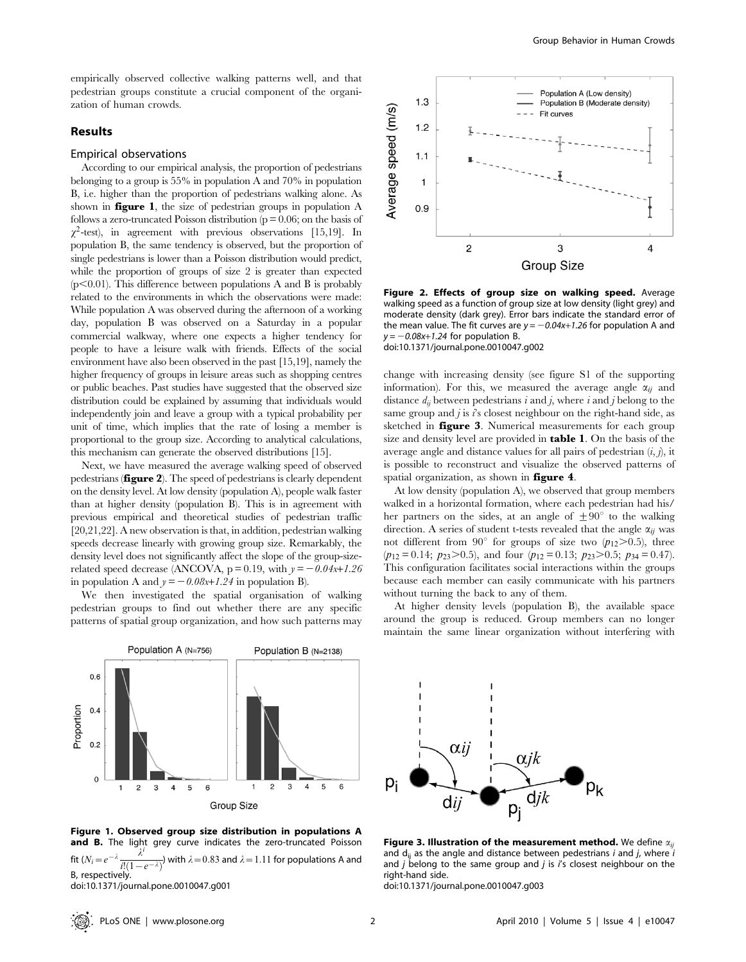empirically observed collective walking patterns well, and that pedestrian groups constitute a crucial component of the organization of human crowds.

#### Results

#### Empirical observations

According to our empirical analysis, the proportion of pedestrians belonging to a group is 55% in population A and 70% in population B, i.e. higher than the proportion of pedestrians walking alone. As shown in **figure 1**, the size of pedestrian groups in population  $A$ follows a zero-truncated Poisson distribution ( $p = 0.06$ ; on the basis of  $\chi^2$ -test), in agreement with previous observations [15,19]. In population B, the same tendency is observed, but the proportion of single pedestrians is lower than a Poisson distribution would predict, while the proportion of groups of size 2 is greater than expected  $(p<0.01)$ . This difference between populations A and B is probably related to the environments in which the observations were made: While population A was observed during the afternoon of a working day, population B was observed on a Saturday in a popular commercial walkway, where one expects a higher tendency for people to have a leisure walk with friends. Effects of the social environment have also been observed in the past [15,19], namely the higher frequency of groups in leisure areas such as shopping centres or public beaches. Past studies have suggested that the observed size distribution could be explained by assuming that individuals would independently join and leave a group with a typical probability per unit of time, which implies that the rate of losing a member is proportional to the group size. According to analytical calculations, this mechanism can generate the observed distributions [15].

Next, we have measured the average walking speed of observed pedestrians (figure 2). The speed of pedestrians is clearly dependent on the density level. At low density (population A), people walk faster than at higher density (population B). This is in agreement with previous empirical and theoretical studies of pedestrian traffic [20,21,22]. A new observation is that, in addition, pedestrian walking speeds decrease linearly with growing group size. Remarkably, the density level does not significantly affect the slope of the group-sizerelated speed decrease (ANCOVA,  $p = 0.19$ , with  $y = -0.04x+1.26$ in population A and  $y = -0.08x+1.24$  in population B).

We then investigated the spatial organisation of walking pedestrian groups to find out whether there are any specific patterns of spatial group organization, and how such patterns may



Figure 1. Observed group size distribution in populations A and B. The light grey curve indicates the zero-truncated Poisson fit  $(N_i=e^{-\lambda}\frac{n}{i!(1-e^{-\lambda})}$ ) with  $\lambda = 0.83$  and  $\lambda = 1.11$  for populations A and B, respectively.

doi:10.1371/journal.pone.0010047.g001



Figure 2. Effects of group size on walking speed. Average walking speed as a function of group size at low density (light grey) and moderate density (dark grey). Error bars indicate the standard error of the mean value. The fit curves are  $y = -0.04x+1.26$  for population A and  $y = -0.08x+1.24$  for population B.

doi:10.1371/journal.pone.0010047.g002

change with increasing density (see figure S1 of the supporting information). For this, we measured the average angle  $\alpha_{ii}$  and distance  $d_{ii}$  between pedestrians i and j, where i and j belong to the same group and  $j$  is  $i$ 's closest neighbour on the right-hand side, as sketched in **figure 3**. Numerical measurements for each group size and density level are provided in table 1. On the basis of the average angle and distance values for all pairs of pedestrian  $(i, j)$ , it is possible to reconstruct and visualize the observed patterns of spatial organization, as shown in **figure 4**.

At low density (population A), we observed that group members walked in a horizontal formation, where each pedestrian had his/ her partners on the sides, at an angle of  $\pm 90^{\circ}$  to the walking direction. A series of student t-tests revealed that the angle  $\alpha_{ii}$  was not different from 90° for groups of size two  $(p_{12} > 0.5)$ , three  $(p_{12} = 0.14; p_{23} > 0.5)$ , and four  $(p_{12} = 0.13; p_{23} > 0.5; p_{34} = 0.47)$ . This configuration facilitates social interactions within the groups because each member can easily communicate with his partners without turning the back to any of them.

At higher density levels (population B), the available space around the group is reduced. Group members can no longer maintain the same linear organization without interfering with



Figure 3. Illustration of the measurement method. We define  $\alpha_{ij}$ and  $d_{ii}$  as the angle and distance between pedestrians i and j, where i and  $j$  belong to the same group and  $j$  is  $i's$  closest neighbour on the right-hand side.

doi:10.1371/journal.pone.0010047.g003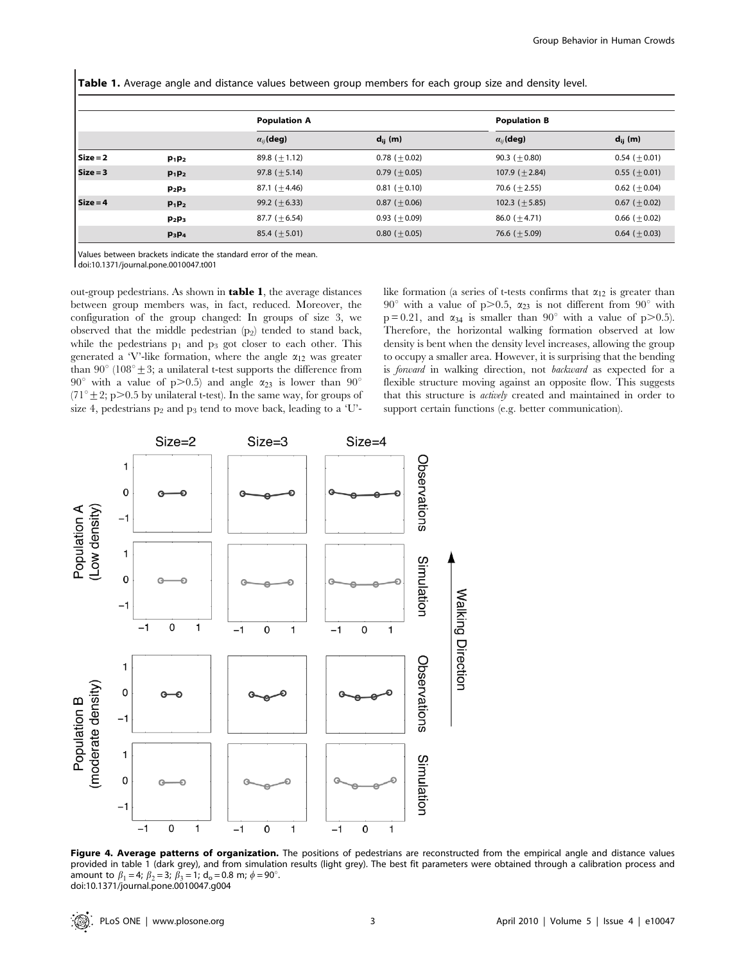Table 1. Average angle and distance values between group members for each group size and density level.

|            |          | <b>Population A</b> |                | <b>Population B</b> |                    |
|------------|----------|---------------------|----------------|---------------------|--------------------|
|            |          | $\alpha_{ij}$ (deg) | $d_{ii}$ (m)   | $\alpha_{ij}$ (deg) | $d_{ii}$ (m)       |
| $Size = 2$ | $p_1p_2$ | 89.8 $(\pm 1.12)$   | $0.78 (+0.02)$ | $90.3 (+0.80)$      | $0.54 (+0.01)$     |
| Size = 3   | $p_1p_2$ | $97.8 (+ 5.14)$     | $0.79 (+0.05)$ | $107.9 (+ 2.84)$    | $0.55~(\pm 0.01)$  |
|            | $p_2p_3$ | 87.1 $(\pm 4.46)$   | $0.81 (+0.10)$ | $70.6 (+ 2.55)$     | $0.62 (+0.04)$     |
| $Size = 4$ | $p_1p_2$ | $99.2 (+6.33)$      | $0.87 (+0.06)$ | $102.3 (+5.85)$     | 0.67 ( $\pm$ 0.02) |
|            | $p_2p_3$ | $87.7 (+6.54)$      | $0.93 (+0.09)$ | 86.0 ( $\pm$ 4.71)  | $0.66 (+0.02)$     |
|            | $p_3p_4$ | $85.4 (+5.01)$      | $0.80 (+0.05)$ | 76.6 ( $\pm$ 5.09)  | $0.64 (+0.03)$     |

Values between brackets indicate the standard error of the mean.

doi:10.1371/journal.pone.0010047.t001

out-group pedestrians. As shown in table 1, the average distances between group members was, in fact, reduced. Moreover, the configuration of the group changed: In groups of size 3, we observed that the middle pedestrian  $(p_2)$  tended to stand back, while the pedestrians  $p_1$  and  $p_3$  got closer to each other. This generated a 'V'-like formation, where the angle  $\alpha_{12}$  was greater than 90 $^{\circ}$  (108 $^{\circ}$  ± 3; a unilateral t-test supports the difference from 90° with a value of p $>0.5$ ) and angle  $\alpha_{23}$  is lower than 90° (71<sup>°</sup>  $\pm$  2; p>0.5 by unilateral t-test). In the same way, for groups of size 4, pedestrians  $p_2$  and  $p_3$  tend to move back, leading to a 'U'- like formation (a series of t-tests confirms that  $\alpha_{12}$  is greater than 90° with a value of p $> 0.5$ ,  $\alpha_{23}$  is not different from 90° with  $p = 0.21$ , and  $\alpha_{34}$  is smaller than  $90^{\circ}$  with a value of p $> 0.5$ ). Therefore, the horizontal walking formation observed at low density is bent when the density level increases, allowing the group to occupy a smaller area. However, it is surprising that the bending is forward in walking direction, not backward as expected for a flexible structure moving against an opposite flow. This suggests that this structure is actively created and maintained in order to support certain functions (e.g. better communication).



Figure 4. Average patterns of organization. The positions of pedestrians are reconstructed from the empirical angle and distance values provided in table 1 (dark grey), and from simulation results (light grey). The best fit parameters were obtained through a calibration process and amount to  $\beta_1 = 4$ ;  $\beta_2 = 3$ ;  $\beta_3 = 1$ ; d<sub>o</sub> = 0.8 m;  $\phi = 90^\circ$ . doi:10.1371/journal.pone.0010047.g004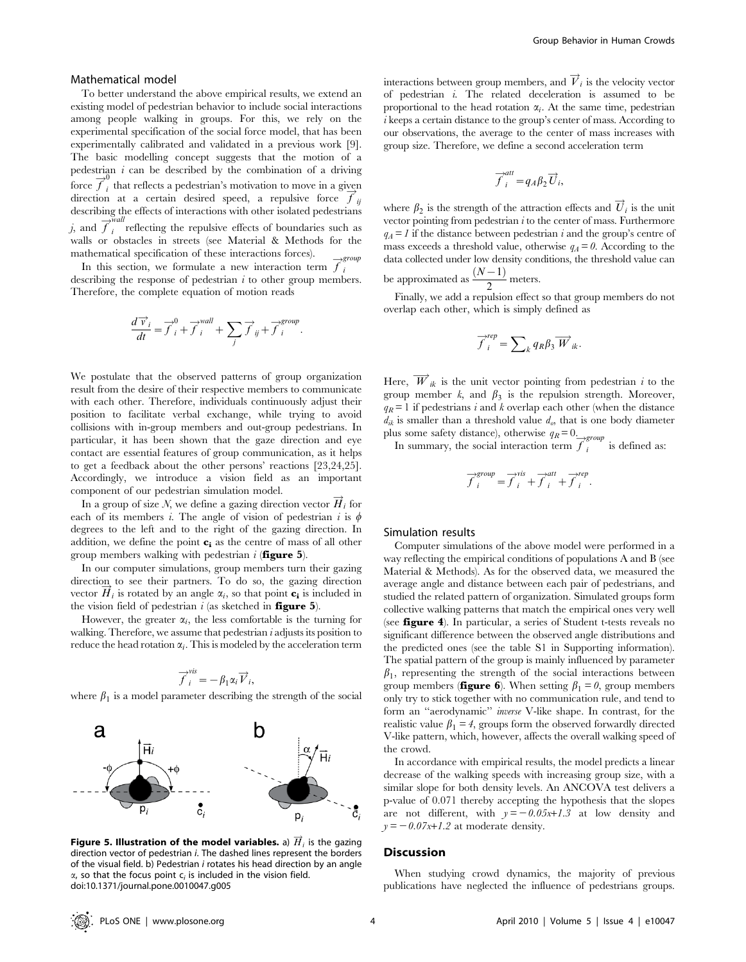#### Mathematical model

To better understand the above empirical results, we extend an existing model of pedestrian behavior to include social interactions among people walking in groups. For this, we rely on the experimental specification of the social force model, that has been experimentally calibrated and validated in a previous work [9]. The basic modelling concept suggests that the motion of a pedestrian  $i$  can be described by the combination of a driving from  $\overrightarrow{f}_i$  that reflects a pedestrian's motivation to move in a given function at a certain desired speed, a repulsive force  $\vec{f}_{ij}$ describing the effects of interactions with other isolated pedestrians *i*, and  $\overrightarrow{f}_i^{\text{wall}}$  reflecting the repulsive effects of boundaries such as walls or obstacles in streets (see Material & Methods for the mathematical specification of these interactions forces).

In this section, we formulate a new interaction term  $\overrightarrow{f}_i^{group}$ describing the response of pedestrian  $i$  to other group members. Therefore, the complete equation of motion reads

$$
\frac{d\overrightarrow{v}_i}{dt} = \overrightarrow{f}_i^0 + \overrightarrow{f}_i^{wall} + \sum_j \overrightarrow{f}_j + \overrightarrow{f}_i^{group}.
$$

We postulate that the observed patterns of group organization result from the desire of their respective members to communicate with each other. Therefore, individuals continuously adjust their position to facilitate verbal exchange, while trying to avoid collisions with in-group members and out-group pedestrians. In particular, it has been shown that the gaze direction and eye contact are essential features of group communication, as it helps to get a feedback about the other persons' reactions [23,24,25]. Accordingly, we introduce a vision field as an important component of our pedestrian simulation model.

In a group of size N, we define a gazing direction vector  $\overrightarrow{H}_i$  for each of its members i. The angle of vision of pedestrian i is  $\phi$ degrees to the left and to the right of the gazing direction. In addition, we define the point **c**; as the centre of mass of all other group members walking with pedestrian  $i$  (**figure 5**).

In our computer simulations, group members turn their gazing direction to see their partners. To do so, the gazing direction vector  $\vec{H}_i$  is rotated by an angle  $\alpha_i$ , so that point  $\mathbf{c}_i$  is included in the vision field of pedestrian  $i$  (as sketched in **figure 5**).

However, the greater  $\alpha_i$ , the less comfortable is the turning for walking. Therefore, we assume that pedestrian  $i$  adjusts its position to reduce the head rotation  $\alpha_i$ . This is modeled by the acceleration term

$$
\overrightarrow{f}_i^{vis} = -\beta_1 \alpha_i \overrightarrow{V}_i,
$$

where  $\beta_1$  is a model parameter describing the strength of the social



Figure 5. Illustration of the model variables. a)  $\overrightarrow{H}_i$  is the gazing direction vector of pedestrian i. The dashed lines represent the borders of the visual field. b) Pedestrian i rotates his head direction by an angle  $\alpha$ , so that the focus point  $c_i$  is included in the vision field. doi:10.1371/journal.pone.0010047.g005

interactions between group members, and  $\overrightarrow{V}_i$  is the velocity vector of pedestrian i. The related deceleration is assumed to be proportional to the head rotation  $\alpha_i$ . At the same time, pedestrian i keeps a certain distance to the group's center of mass. According to our observations, the average to the center of mass increases with group size. Therefore, we define a second acceleration term

$$
\overrightarrow{f}_i^{att} = q_A \beta_2 \overrightarrow{U}_i,
$$

where  $\beta_2$  is the strength of the attraction effects and  $\overrightarrow{U}_i$  is the unit vector pointing from pedestrian  $i$  to the center of mass. Furthermore  $q_A = 1$  if the distance between pedestrian i and the group's centre of mass exceeds a threshold value, otherwise  $q_A = 0$ . According to the data collected under low density conditions, the threshold value can be approximated as  $\frac{(N-1)}{2}$  meters.

Finally, we add a repulsion effect so that group members do not overlap each other, which is simply defined as

$$
\overrightarrow{f}_{i}^{rep}=\sum\nolimits_{k}q_{R}\beta _{3}\overrightarrow{W}_{ik}.
$$

Here,  $\overrightarrow{W}_{ik}$  is the unit vector pointing from pedestrian *i* to the group member  $k$ , and  $\beta_3$  is the repulsion strength. Moreover,  $q_R$ = 1 if pedestrians i and k overlap each other (when the distance  $d_{ik}$  is smaller than a threshold value  $d_{o}$ , that is one body diameter plus some safety distance), otherwise  $q_R = 0$ .

In summary, the social interaction term  $\overrightarrow{f}_i$ is defined as:

$$
\overrightarrow{f}^{group}_{i} = \overrightarrow{f}^{vis}_{i} + \overrightarrow{f}^{att}_{i} + \overrightarrow{f}^{rep}_{i}.
$$

#### Simulation results

Computer simulations of the above model were performed in a way reflecting the empirical conditions of populations A and B (see Material & Methods). As for the observed data, we measured the average angle and distance between each pair of pedestrians, and studied the related pattern of organization. Simulated groups form collective walking patterns that match the empirical ones very well (see figure 4). In particular, a series of Student t-tests reveals no significant difference between the observed angle distributions and the predicted ones (see the table S1 in Supporting information). The spatial pattern of the group is mainly influenced by parameter  $\beta_1$ , representing the strength of the social interactions between group members (**figure 6**). When setting  $\beta_1 = 0$ , group members only try to stick together with no communication rule, and tend to form an ''aerodynamic'' inverse V-like shape. In contrast, for the realistic value  $\beta_1 = 4$ , groups form the observed forwardly directed V-like pattern, which, however, affects the overall walking speed of the crowd.

In accordance with empirical results, the model predicts a linear decrease of the walking speeds with increasing group size, with a similar slope for both density levels. An ANCOVA test delivers a p-value of 0.071 thereby accepting the hypothesis that the slopes are not different, with  $y = -0.05x+1.3$  at low density and  $y = -0.07x+1.2$  at moderate density.

#### **Discussion**

When studying crowd dynamics, the majority of previous publications have neglected the influence of pedestrians groups.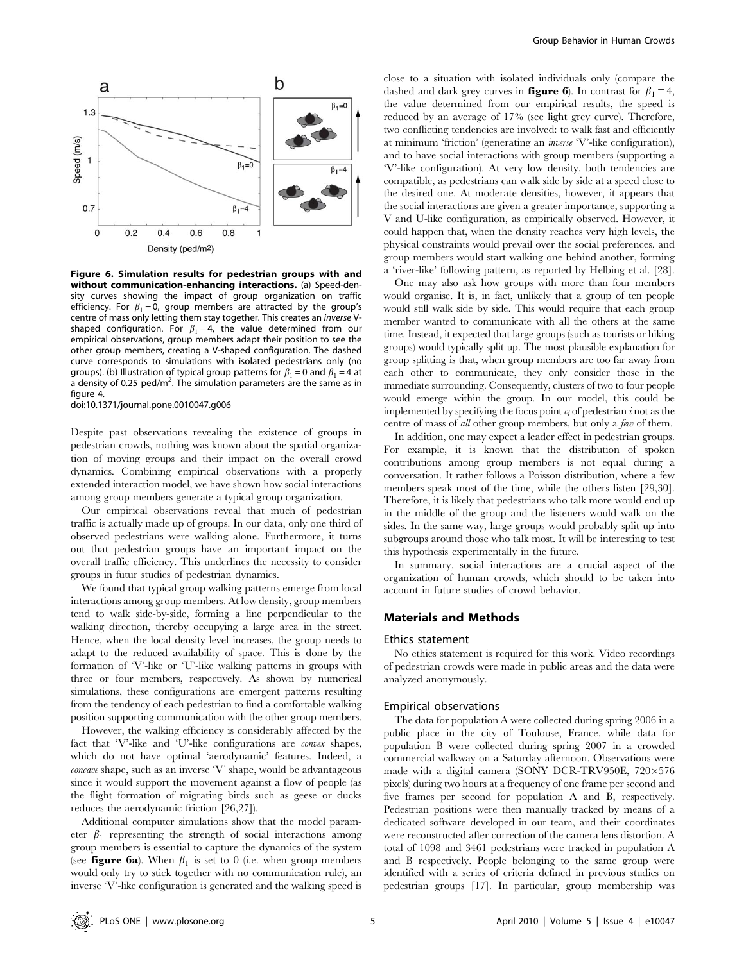

Figure 6. Simulation results for pedestrian groups with and without communication-enhancing interactions. (a) Speed-density curves showing the impact of group organization on traffic efficiency. For  $\beta_1 = 0$ , group members are attracted by the group's centre of mass only letting them stay together. This creates an inverse Vshaped configuration. For  $\beta_1 = 4$ , the value determined from our empirical observations, group members adapt their position to see the other group members, creating a V-shaped configuration. The dashed curve corresponds to simulations with isolated pedestrians only (no groups). (b) Illustration of typical group patterns for  $\beta_1 = 0$  and  $\beta_1 = 4$  at  $\alpha$  density of 0.25 ped/m<sup>2</sup>. The simulation parameters are the same as in figure 4.

doi:10.1371/journal.pone.0010047.g006

Despite past observations revealing the existence of groups in pedestrian crowds, nothing was known about the spatial organization of moving groups and their impact on the overall crowd dynamics. Combining empirical observations with a properly extended interaction model, we have shown how social interactions among group members generate a typical group organization.

Our empirical observations reveal that much of pedestrian traffic is actually made up of groups. In our data, only one third of observed pedestrians were walking alone. Furthermore, it turns out that pedestrian groups have an important impact on the overall traffic efficiency. This underlines the necessity to consider groups in futur studies of pedestrian dynamics.

We found that typical group walking patterns emerge from local interactions among group members. At low density, group members tend to walk side-by-side, forming a line perpendicular to the walking direction, thereby occupying a large area in the street. Hence, when the local density level increases, the group needs to adapt to the reduced availability of space. This is done by the formation of 'V'-like or 'U'-like walking patterns in groups with three or four members, respectively. As shown by numerical simulations, these configurations are emergent patterns resulting from the tendency of each pedestrian to find a comfortable walking position supporting communication with the other group members.

However, the walking efficiency is considerably affected by the fact that 'V'-like and 'U'-like configurations are convex shapes, which do not have optimal 'aerodynamic' features. Indeed, a concave shape, such as an inverse 'V' shape, would be advantageous since it would support the movement against a flow of people (as the flight formation of migrating birds such as geese or ducks reduces the aerodynamic friction [26,27]).

Additional computer simulations show that the model parameter  $\beta_1$  representing the strength of social interactions among group members is essential to capture the dynamics of the system (see **figure 6a**). When  $\beta_1$  is set to 0 (i.e. when group members would only try to stick together with no communication rule), an inverse 'V'-like configuration is generated and the walking speed is

close to a situation with isolated individuals only (compare the dashed and dark grey curves in **figure 6**). In contrast for  $\beta_1 = 4$ , the value determined from our empirical results, the speed is reduced by an average of 17% (see light grey curve). Therefore, two conflicting tendencies are involved: to walk fast and efficiently at minimum 'friction' (generating an inverse 'V'-like configuration), and to have social interactions with group members (supporting a 'V'-like configuration). At very low density, both tendencies are compatible, as pedestrians can walk side by side at a speed close to the desired one. At moderate densities, however, it appears that the social interactions are given a greater importance, supporting a V and U-like configuration, as empirically observed. However, it could happen that, when the density reaches very high levels, the physical constraints would prevail over the social preferences, and group members would start walking one behind another, forming a 'river-like' following pattern, as reported by Helbing et al. [28].

One may also ask how groups with more than four members would organise. It is, in fact, unlikely that a group of ten people would still walk side by side. This would require that each group member wanted to communicate with all the others at the same time. Instead, it expected that large groups (such as tourists or hiking groups) would typically split up. The most plausible explanation for group splitting is that, when group members are too far away from each other to communicate, they only consider those in the immediate surrounding. Consequently, clusters of two to four people would emerge within the group. In our model, this could be implemented by specifying the focus point  $c_i$  of pedestrian i not as the centre of mass of all other group members, but only a few of them.

In addition, one may expect a leader effect in pedestrian groups. For example, it is known that the distribution of spoken contributions among group members is not equal during a conversation. It rather follows a Poisson distribution, where a few members speak most of the time, while the others listen [29,30]. Therefore, it is likely that pedestrians who talk more would end up in the middle of the group and the listeners would walk on the sides. In the same way, large groups would probably split up into subgroups around those who talk most. It will be interesting to test this hypothesis experimentally in the future.

In summary, social interactions are a crucial aspect of the organization of human crowds, which should to be taken into account in future studies of crowd behavior.

#### Materials and Methods

#### Ethics statement

No ethics statement is required for this work. Video recordings of pedestrian crowds were made in public areas and the data were analyzed anonymously.

#### Empirical observations

The data for population A were collected during spring 2006 in a public place in the city of Toulouse, France, while data for population B were collected during spring 2007 in a crowded commercial walkway on a Saturday afternoon. Observations were made with a digital camera (SONY DCR-TRV950E,  $720\times576$ pixels) during two hours at a frequency of one frame per second and five frames per second for population A and B, respectively. Pedestrian positions were then manually tracked by means of a dedicated software developed in our team, and their coordinates were reconstructed after correction of the camera lens distortion. A total of 1098 and 3461 pedestrians were tracked in population A and B respectively. People belonging to the same group were identified with a series of criteria defined in previous studies on pedestrian groups [17]. In particular, group membership was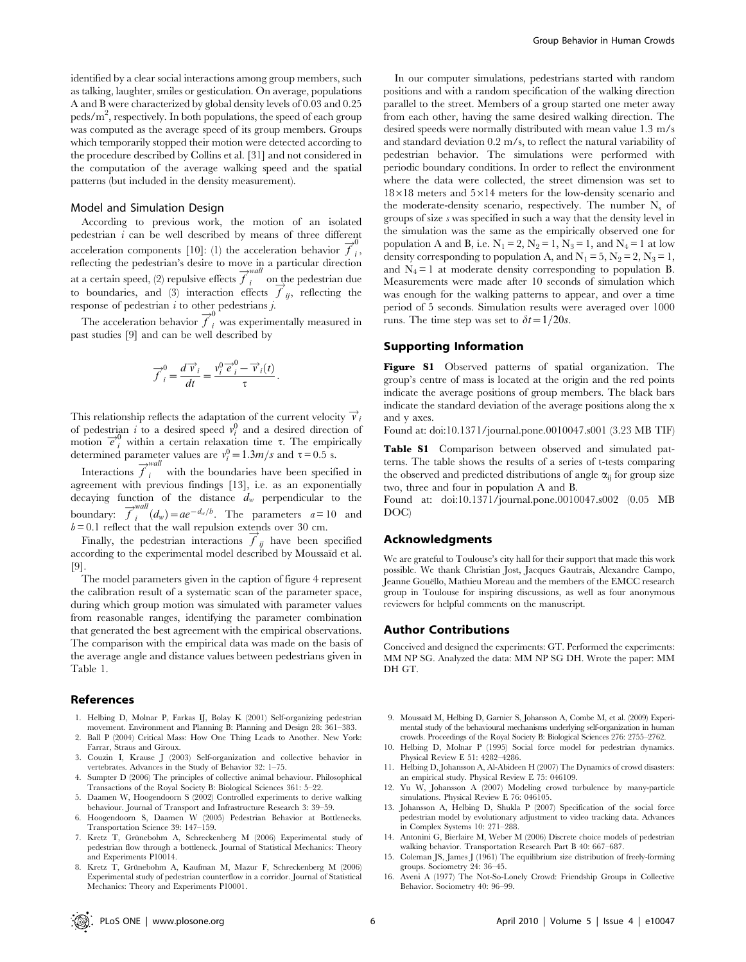identified by a clear social interactions among group members, such as talking, laughter, smiles or gesticulation. On average, populations A and B were characterized by global density levels of 0.03 and 0.25  $\rm{peds/m}^2,$  respectively. In both populations, the speed of each group was computed as the average speed of its group members. Groups which temporarily stopped their motion were detected according to the procedure described by Collins et al. [31] and not considered in the computation of the average walking speed and the spatial patterns (but included in the density measurement).

#### Model and Simulation Design

According to previous work, the motion of an isolated pedestrian  $i$  can be well described by means of three different acceleration components [10]: (1) the acceleration behavior  $\overline{f}_i^0$ , reflecting the pedestrian's desire to move in a particular direction at a certain speed, (2) repulsive effects  $\overrightarrow{f}_i^{wall}$  on the pedestrian due to boundaries, and (3) interaction effects  $\overrightarrow{f}_{ij}$ , reflecting the response of pedestrian  $i$  to other pedestrians  $j$ .

The acceleration behavior  $\overline{f}_i^0$  was experimentally measured in past studies [9] and can be well described by

$$
\overrightarrow{f}_i^0 = \frac{d\overrightarrow{v}_i}{dt} = \frac{v_i^0 \overrightarrow{e}_i^0 - \overrightarrow{v}_i(t)}{\tau}.
$$

This relationship reflects the adaptation of the current velocity  $\vec{v}_i$ of pedestrian i to a desired speed  $v_i^0$  and a desired direction of motion  $\vec{e}_i^0$  within a certain relaxation time  $\tau$ . The empirically determined parameter values are  $v_i^0 = 1.3m/s$  and  $\tau = 0.5$  s.

Interactions  $\overrightarrow{f}_i^{wall}$  with the boundaries have been specified in agreement with previous findings [13], i.e. as an exponentially decaying function of the distance  $d_w$  perpendicular to the boundary:  $\overrightarrow{f}_i^{wall}(d_w) = ae^{-d_w/b}$ . The parameters  $a = 10$  and  $b = 0.1$  reflect that the wall repulsion extends over 30 cm.

Finally, the pedestrian interactions  $\overrightarrow{f}_y$  have been specified according to the experimental model described by Moussaïd et al. [9].

The model parameters given in the caption of figure 4 represent the calibration result of a systematic scan of the parameter space, during which group motion was simulated with parameter values from reasonable ranges, identifying the parameter combination that generated the best agreement with the empirical observations. The comparison with the empirical data was made on the basis of the average angle and distance values between pedestrians given in Table 1.

#### References

- 1. Helbing D, Molnar P, Farkas IJ, Bolay K (2001) Self-organizing pedestrian movement. Environment and Planning B: Planning and Design 28: 361–383.
- 2. Ball P (2004) Critical Mass: How One Thing Leads to Another. New York: Farrar, Straus and Giroux.
- 3. Couzin I, Krause J (2003) Self-organization and collective behavior in vertebrates. Advances in the Study of Behavior 32: 1–75.
- 4. Sumpter D (2006) The principles of collective animal behaviour. Philosophical Transactions of the Royal Society B: Biological Sciences 361: 5–22.
- 5. Daamen W, Hoogendoorn S (2002) Controlled experiments to derive walking behaviour. Journal of Transport and Infrastructure Research 3: 39–59.
- 6. Hoogendoorn S, Daamen W (2005) Pedestrian Behavior at Bottlenecks. Transportation Science 39: 147–159.
- 7. Kretz T, Grünebohm A, Schreckenberg M (2006) Experimental study of pedestrian flow through a bottleneck. Journal of Statistical Mechanics: Theory and Experiments P10014.
- 8. Kretz T, Grünebohm A, Kaufman M, Mazur F, Schreckenberg M (2006) Experimental study of pedestrian counterflow in a corridor. Journal of Statistical Mechanics: Theory and Experiments P10001.

In our computer simulations, pedestrians started with random positions and with a random specification of the walking direction parallel to the street. Members of a group started one meter away from each other, having the same desired walking direction. The desired speeds were normally distributed with mean value 1.3 m/s and standard deviation 0.2 m/s, to reflect the natural variability of pedestrian behavior. The simulations were performed with periodic boundary conditions. In order to reflect the environment where the data were collected, the street dimension was set to  $18\times18$  meters and  $5\times14$  meters for the low-density scenario and the moderate-density scenario, respectively. The number  $N_s$  of groups of size s was specified in such a way that the density level in the simulation was the same as the empirically observed one for population A and B, i.e.  $N_1 = 2$ ,  $N_2 = 1$ ,  $N_3 = 1$ , and  $N_4 = 1$  at low density corresponding to population A, and  $N_1 = 5$ ,  $N_2 = 2$ ,  $N_3 = 1$ , and  $N_4 = 1$  at moderate density corresponding to population B. Measurements were made after 10 seconds of simulation which was enough for the walking patterns to appear, and over a time period of 5 seconds. Simulation results were averaged over 1000 runs. The time step was set to  $\delta t = 1/20s$ .

#### Supporting Information

Figure S1 Observed patterns of spatial organization. The group's centre of mass is located at the origin and the red points indicate the average positions of group members. The black bars indicate the standard deviation of the average positions along the x and y axes.

Found at: doi:10.1371/journal.pone.0010047.s001 (3.23 MB TIF)

Table S1 Comparison between observed and simulated patterns. The table shows the results of a series of t-tests comparing the observed and predicted distributions of angle  $\alpha_{ii}$  for group size two, three and four in population A and B.

Found at: doi:10.1371/journal.pone.0010047.s002 (0.05 MB DOC)

#### Acknowledgments

We are grateful to Toulouse's city hall for their support that made this work possible. We thank Christian Jost, Jacques Gautrais, Alexandre Campo, Jeanne Gouëllo, Mathieu Moreau and the members of the EMCC research group in Toulouse for inspiring discussions, as well as four anonymous reviewers for helpful comments on the manuscript.

#### Author Contributions

Conceived and designed the experiments: GT. Performed the experiments: MM NP SG. Analyzed the data: MM NP SG DH. Wrote the paper: MM DH GT.

- 9. Moussaïd M, Helbing D, Garnier S, Johansson A, Combe M, et al. (2009) Experimental study of the behavioural mechanisms underlying self-organization in human crowds. Proceedings of the Royal Society B: Biological Sciences 276: 2755–2762.
- 10. Helbing D, Molnar P (1995) Social force model for pedestrian dynamics. Physical Review E 51: 4282–4286.
- 11. Helbing D, Johansson A, Al-Abideen H (2007) The Dynamics of crowd disasters: an empirical study. Physical Review E 75: 046109.
- 12. Yu W, Johansson A (2007) Modeling crowd turbulence by many-particle simulations. Physical Review E 76: 046105.
- 13. Johansson A, Helbing D, Shukla P (2007) Specification of the social force pedestrian model by evolutionary adjustment to video tracking data. Advances in Complex Systems 10: 271–288.
- 14. Antonini G, Bierlaire M, Weber M (2006) Discrete choice models of pedestrian walking behavior. Transportation Research Part B 40: 667–687.
- 15. Coleman JS, James J (1961) The equilibrium size distribution of freely-forming groups. Sociometry 24: 36–45.
- 16. Aveni A (1977) The Not-So-Lonely Crowd: Friendship Groups in Collective Behavior. Sociometry 40: 96–99.